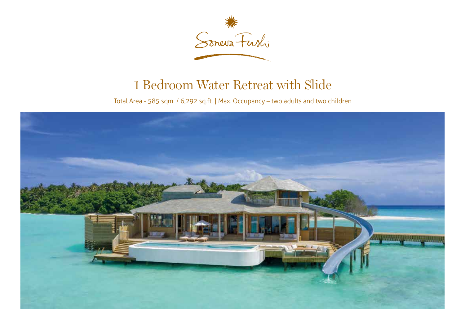

## 1 Bedroom Water Retreat with Slide

Total Area - 585 sqm. / 6,292 sq.ft. | Max. Occupancy – two adults and two children

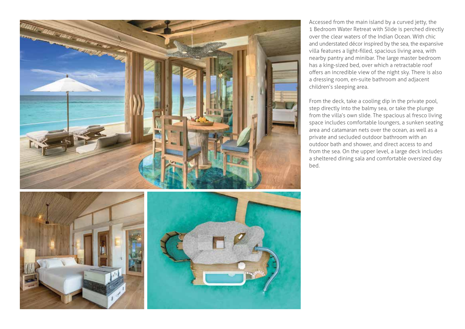

Accessed from the main island by a curved jetty, the 1 Bedroom Water Retreat with Slide is perched directly over the clear waters of the Indian Ocean. With chic and understated décor inspired by the sea, the expansive villa features a light-filled, spacious living area, with nearby pantry and minibar. The large master bedroom has a king-sized bed, over which a retractable roof offers an incredible view of the night sky. There is also a dressing room, en-suite bathroom and adjacent children's sleeping area.

From the deck, take a cooling dip in the private pool, step directly into the balmy sea, or take the plunge from the villa's own slide. The spacious al fresco living space includes comfortable loungers, a sunken seating area and catamaran nets over the ocean, as well as a private and secluded outdoor bathroom with an outdoor bath and shower, and direct access to and from the sea. On the upper level, a large deck includes a sheltered dining sala and comfortable oversized day bed.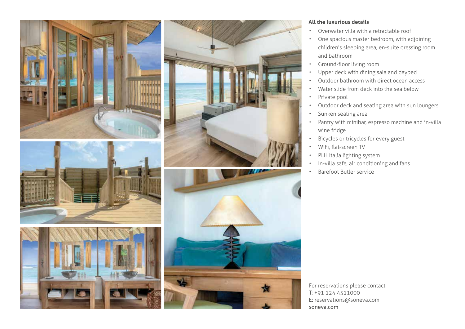







## **All the luxurious details**

- Overwater villa with a retractable roof
- One spacious master bedroom, with adjoining children's sleeping area, en-suite dressing room and bathroom
- Ground-floor living room
- Upper deck with dining sala and daybed
- Outdoor bathroom with direct ocean access
- Water slide from deck into the sea below
- Private pool
- Outdoor deck and seating area with sun loungers
- Sunken seating area
- Pantry with minibar, espresso machine and in-villa wine fridge
- Bicycles or tricycles for every guest
- WiFi, flat-screen TV
- PLH Italia lighting system
- In-villa safe, air conditioning and fans
- Barefoot Butler service

For reservations please contact: T: +91 124 4511000 E: reservations@soneva.com soneva.com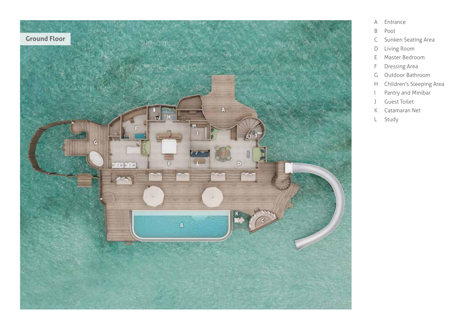

- A Entrance
- B Pool
- C Sunken Seating Area
- D Living Room
- E Master Bedroom
- F Dressing Area
- G Outdoor Bathroom
- H Children's Sleeping Area
- I Pantry and Minibar
- J Guest Toilet
- K Catamaran Net
- L Study